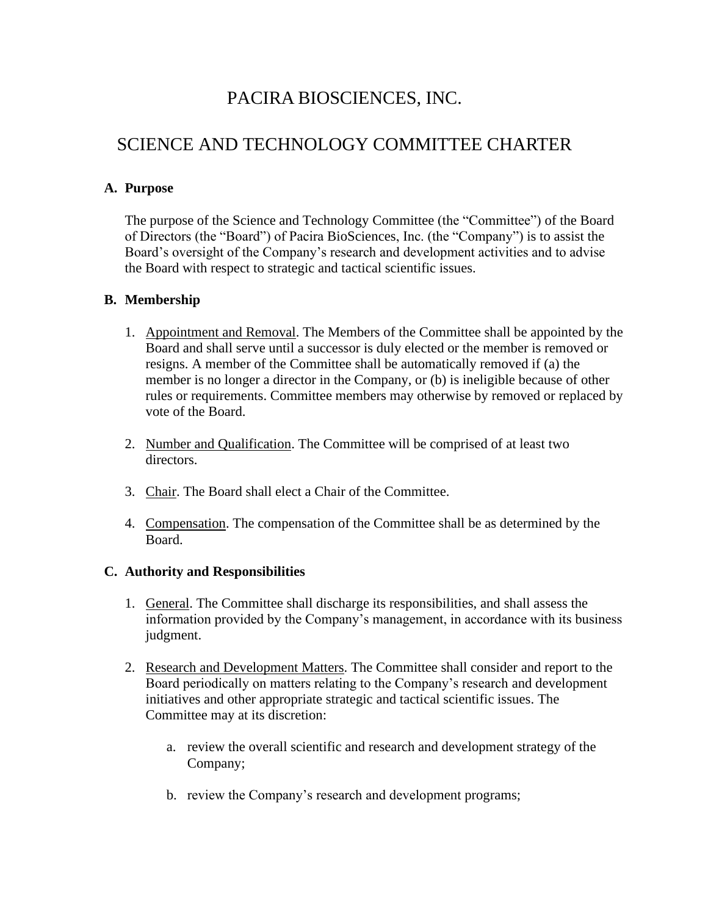## PACIRA BIOSCIENCES, INC.

# SCIENCE AND TECHNOLOGY COMMITTEE CHARTER

## **A. Purpose**

The purpose of the Science and Technology Committee (the "Committee") of the Board of Directors (the "Board") of Pacira BioSciences, Inc. (the "Company") is to assist the Board's oversight of the Company's research and development activities and to advise the Board with respect to strategic and tactical scientific issues.

## **B. Membership**

- 1. Appointment and Removal. The Members of the Committee shall be appointed by the Board and shall serve until a successor is duly elected or the member is removed or resigns. A member of the Committee shall be automatically removed if (a) the member is no longer a director in the Company, or (b) is ineligible because of other rules or requirements. Committee members may otherwise by removed or replaced by vote of the Board.
- 2. Number and Qualification. The Committee will be comprised of at least two directors.
- 3. Chair. The Board shall elect a Chair of the Committee.
- 4. Compensation. The compensation of the Committee shall be as determined by the Board.

#### **C. Authority and Responsibilities**

- 1. General. The Committee shall discharge its responsibilities, and shall assess the information provided by the Company's management, in accordance with its business judgment.
- 2. Research and Development Matters. The Committee shall consider and report to the Board periodically on matters relating to the Company's research and development initiatives and other appropriate strategic and tactical scientific issues. The Committee may at its discretion:
	- a. review the overall scientific and research and development strategy of the Company;
	- b. review the Company's research and development programs;